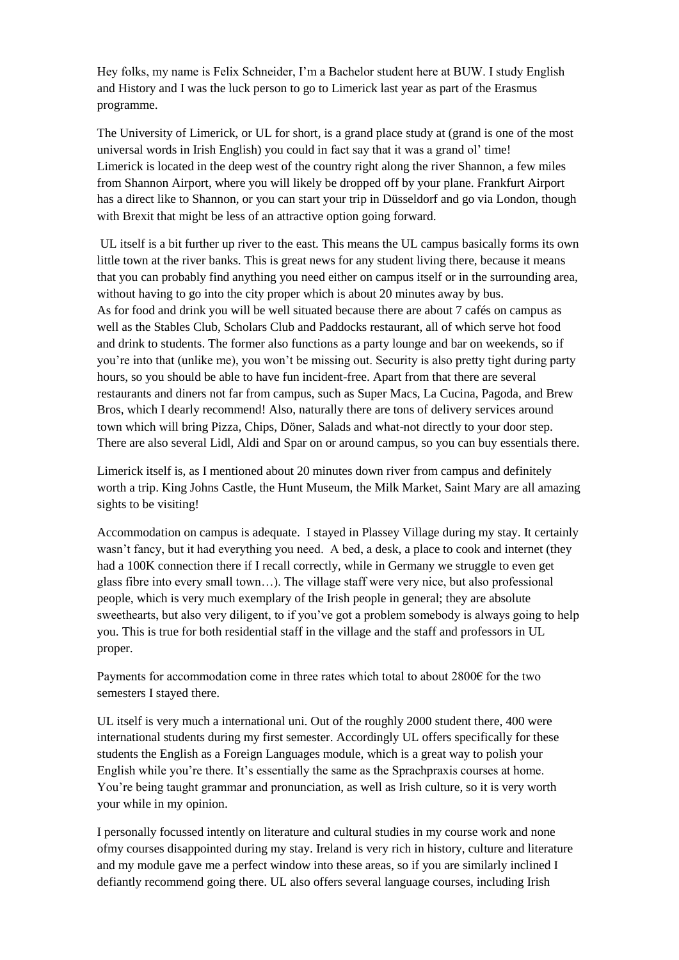Hey folks, my name is Felix Schneider, I'm a Bachelor student here at BUW. I study English and History and I was the luck person to go to Limerick last year as part of the Erasmus programme.

The University of Limerick, or UL for short, is a grand place study at (grand is one of the most universal words in Irish English) you could in fact say that it was a grand ol' time! Limerick is located in the deep west of the country right along the river Shannon, a few miles from Shannon Airport, where you will likely be dropped off by your plane. Frankfurt Airport has a direct like to Shannon, or you can start your trip in Düsseldorf and go via London, though with Brexit that might be less of an attractive option going forward.

UL itself is a bit further up river to the east. This means the UL campus basically forms its own little town at the river banks. This is great news for any student living there, because it means that you can probably find anything you need either on campus itself or in the surrounding area, without having to go into the city proper which is about 20 minutes away by bus. As for food and drink you will be well situated because there are about 7 cafés on campus as well as the Stables Club, Scholars Club and Paddocks restaurant, all of which serve hot food and drink to students. The former also functions as a party lounge and bar on weekends, so if you're into that (unlike me), you won't be missing out. Security is also pretty tight during party hours, so you should be able to have fun incident-free. Apart from that there are several restaurants and diners not far from campus, such as Super Macs, La Cucina, Pagoda, and Brew Bros, which I dearly recommend! Also, naturally there are tons of delivery services around town which will bring Pizza, Chips, Döner, Salads and what-not directly to your door step. There are also several Lidl, Aldi and Spar on or around campus, so you can buy essentials there.

Limerick itself is, as I mentioned about 20 minutes down river from campus and definitely worth a trip. King Johns Castle, the Hunt Museum, the Milk Market, Saint Mary are all amazing sights to be visiting!

Accommodation on campus is adequate. I stayed in Plassey Village during my stay. It certainly wasn't fancy, but it had everything you need. A bed, a desk, a place to cook and internet (they had a 100K connection there if I recall correctly, while in Germany we struggle to even get glass fibre into every small town…). The village staff were very nice, but also professional people, which is very much exemplary of the Irish people in general; they are absolute sweethearts, but also very diligent, to if you've got a problem somebody is always going to help you. This is true for both residential staff in the village and the staff and professors in UL proper.

Payments for accommodation come in three rates which total to about 2800€ for the two semesters I stayed there.

UL itself is very much a international uni. Out of the roughly 2000 student there, 400 were international students during my first semester. Accordingly UL offers specifically for these students the English as a Foreign Languages module, which is a great way to polish your English while you're there. It's essentially the same as the Sprachpraxis courses at home. You're being taught grammar and pronunciation, as well as Irish culture, so it is very worth your while in my opinion.

I personally focussed intently on literature and cultural studies in my course work and none ofmy courses disappointed during my stay. Ireland is very rich in history, culture and literature and my module gave me a perfect window into these areas, so if you are similarly inclined I defiantly recommend going there. UL also offers several language courses, including Irish